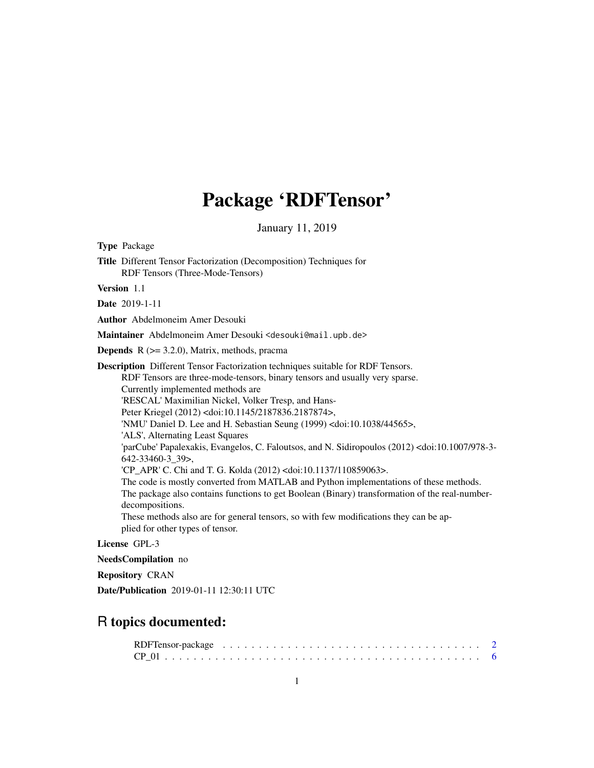# Package 'RDFTensor'

January 11, 2019

Type Package Title Different Tensor Factorization (Decomposition) Techniques for RDF Tensors (Three-Mode-Tensors) Version 1.1 Date 2019-1-11 Author Abdelmoneim Amer Desouki Maintainer Abdelmoneim Amer Desouki <desouki@mail.upb.de> **Depends**  $R$  ( $>= 3.2.0$ ), Matrix, methods, pracma Description Different Tensor Factorization techniques suitable for RDF Tensors. RDF Tensors are three-mode-tensors, binary tensors and usually very sparse. Currently implemented methods are 'RESCAL' Maximilian Nickel, Volker Tresp, and Hans-Peter Kriegel (2012) <doi:10.1145/2187836.2187874>, 'NMU' Daniel D. Lee and H. Sebastian Seung (1999) <doi:10.1038/44565>, 'ALS', Alternating Least Squares 'parCube' Papalexakis, Evangelos, C. Faloutsos, and N. Sidiropoulos (2012) <doi:10.1007/978-3- 642-33460-3\_39>, 'CP\_APR' C. Chi and T. G. Kolda (2012) <doi:10.1137/110859063>. The code is mostly converted from MATLAB and Python implementations of these methods. The package also contains functions to get Boolean (Binary) transformation of the real-numberdecompositions. These methods also are for general tensors, so with few modifications they can be applied for other types of tensor. License GPL-3

NeedsCompilation no

Repository CRAN

Date/Publication 2019-01-11 12:30:11 UTC

# R topics documented: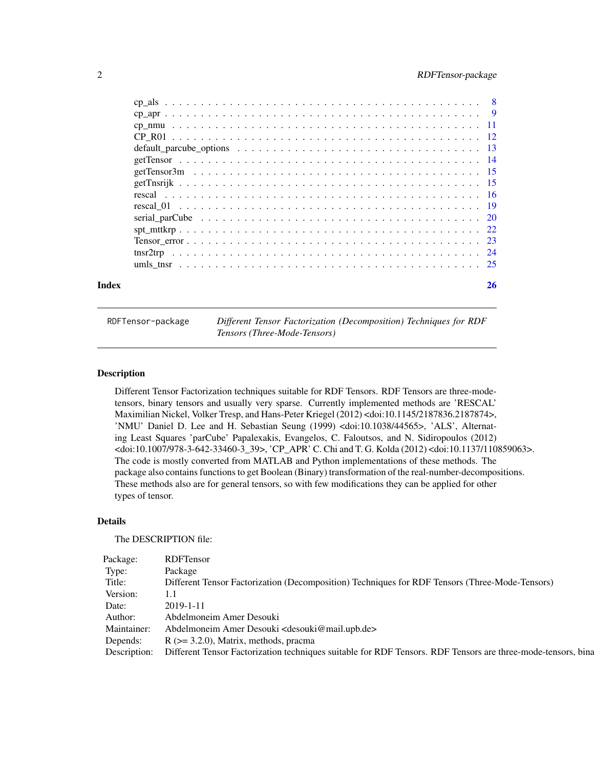<span id="page-1-0"></span>

| Index | 26 |
|-------|----|
|       |    |
|       |    |
|       |    |
|       |    |
|       |    |
|       |    |
|       |    |
|       |    |
|       |    |
|       |    |
|       |    |
|       |    |
|       |    |
|       |    |
|       |    |

RDFTensor-package *Different Tensor Factorization (Decomposition) Techniques for RDF Tensors (Three-Mode-Tensors)*

# **Description**

Different Tensor Factorization techniques suitable for RDF Tensors. RDF Tensors are three-modetensors, binary tensors and usually very sparse. Currently implemented methods are 'RESCAL' Maximilian Nickel, Volker Tresp, and Hans-Peter Kriegel (2012) <doi:10.1145/2187836.2187874>, 'NMU' Daniel D. Lee and H. Sebastian Seung (1999) <doi:10.1038/44565>, 'ALS', Alternating Least Squares 'parCube' Papalexakis, Evangelos, C. Faloutsos, and N. Sidiropoulos (2012) <doi:10.1007/978-3-642-33460-3\_39>, 'CP\_APR' C. Chi and T. G. Kolda (2012) <doi:10.1137/110859063>. The code is mostly converted from MATLAB and Python implementations of these methods. The package also contains functions to get Boolean (Binary) transformation of the real-number-decompositions. These methods also are for general tensors, so with few modifications they can be applied for other types of tensor.

#### Details

The DESCRIPTION file:

| Package: RDFTensor                                                                                                        |
|---------------------------------------------------------------------------------------------------------------------------|
| Package                                                                                                                   |
| Different Tensor Factorization (Decomposition) Techniques for RDF Tensors (Three-Mode-Tensors)                            |
| Version: 1.1                                                                                                              |
| Date: 2019-1-11                                                                                                           |
| Author: Abdelmoneim Amer Desouki                                                                                          |
| Maintainer: Abdelmoneim Amer Desouki <desouki@mail.upb.de></desouki@mail.upb.de>                                          |
| Depends: $R$ ( $>=$ 3.2.0), Matrix, methods, pracma                                                                       |
| Description: Different Tensor Factorization techniques suitable for RDF Tensors. RDF Tensors are three-mode-tensors, bina |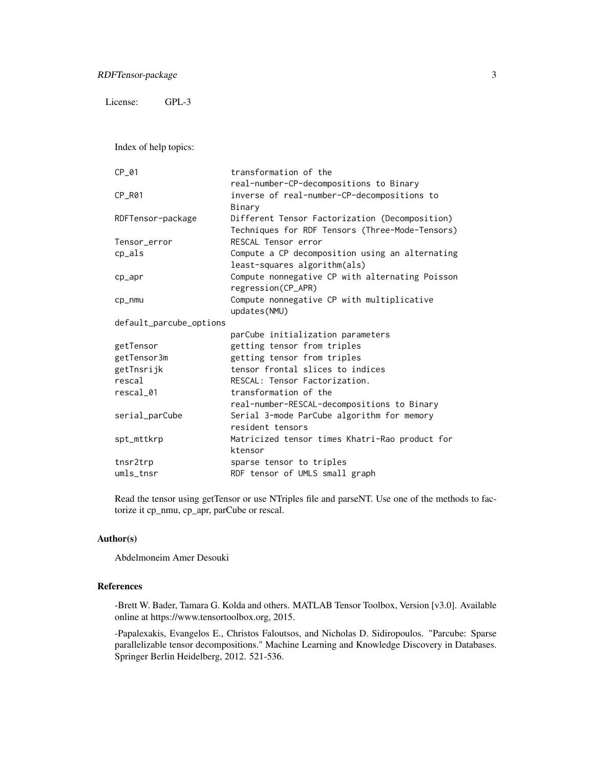License: GPL-3

Index of help topics:

| CP 01                   | transformation of the                           |
|-------------------------|-------------------------------------------------|
|                         | real-number-CP-decompositions to Binary         |
| CP R01                  | inverse of real-number-CP-decompositions to     |
|                         | Binary                                          |
| RDFTensor-package       | Different Tensor Factorization (Decomposition)  |
|                         | Techniques for RDF Tensors (Three-Mode-Tensors) |
| Tensor_error            | RESCAL Tensor error                             |
| $cp_als$                | Compute a CP decomposition using an alternating |
|                         | least-squares algorithm(als)                    |
| $cp$ <sub>-apr</sub>    | Compute nonnegative CP with alternating Poisson |
|                         | regression(CP_APR)                              |
| cp_nmu                  | Compute nonnegative CP with multiplicative      |
|                         | updates(NMU)                                    |
| default_parcube_options |                                                 |
|                         | parCube initialization parameters               |
| getTensor               | getting tensor from triples                     |
| getTensor3m             | getting tensor from triples                     |
| getTnsrijk              | tensor frontal slices to indices                |
| rescal                  | RESCAL: Tensor Factorization.                   |
| rescal_01               | transformation of the                           |
|                         | real-number-RESCAL-decompositions to Binary     |
| serial_parCube          | Serial 3-mode ParCube algorithm for memory      |
|                         | resident tensors                                |
| spt_mttkrp              | Matricized tensor times Khatri-Rao product for  |
|                         | ktensor                                         |
| tnsr2trp                | sparse tensor to triples                        |
| umls_tnsr               | RDF tensor of UMLS small graph                  |

Read the tensor using getTensor or use NTriples file and parseNT. Use one of the methods to factorize it cp\_nmu, cp\_apr, parCube or rescal.

# Author(s)

Abdelmoneim Amer Desouki

#### References

-Brett W. Bader, Tamara G. Kolda and others. MATLAB Tensor Toolbox, Version [v3.0]. Available online at https://www.tensortoolbox.org, 2015.

-Papalexakis, Evangelos E., Christos Faloutsos, and Nicholas D. Sidiropoulos. "Parcube: Sparse parallelizable tensor decompositions." Machine Learning and Knowledge Discovery in Databases. Springer Berlin Heidelberg, 2012. 521-536.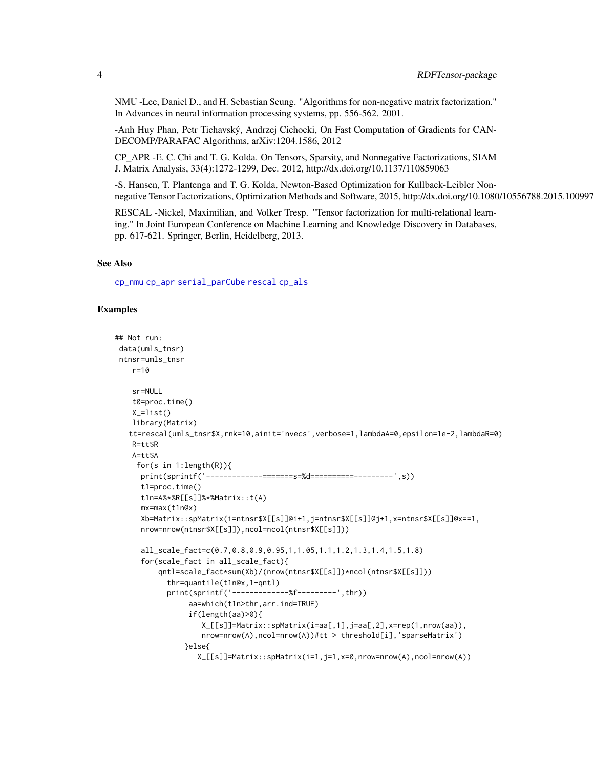<span id="page-3-0"></span>NMU -Lee, Daniel D., and H. Sebastian Seung. "Algorithms for non-negative matrix factorization." In Advances in neural information processing systems, pp. 556-562. 2001.

-Anh Huy Phan, Petr Tichavský, Andrzej Cichocki, On Fast Computation of Gradients for CAN-DECOMP/PARAFAC Algorithms, arXiv:1204.1586, 2012

CP\_APR -E. C. Chi and T. G. Kolda. On Tensors, Sparsity, and Nonnegative Factorizations, SIAM J. Matrix Analysis, 33(4):1272-1299, Dec. 2012, http://dx.doi.org/10.1137/110859063

-S. Hansen, T. Plantenga and T. G. Kolda, Newton-Based Optimization for Kullback-Leibler Nonnegative Tensor Factorizations, Optimization Methods and Software, 2015, http://dx.doi.org/10.1080/10556788.2015.1009977

RESCAL -Nickel, Maximilian, and Volker Tresp. "Tensor factorization for multi-relational learning." In Joint European Conference on Machine Learning and Knowledge Discovery in Databases, pp. 617-621. Springer, Berlin, Heidelberg, 2013.

#### See Also

[cp\\_nmu](#page-10-1) [cp\\_apr](#page-8-1) [serial\\_parCube](#page-19-1) [rescal](#page-15-1) [cp\\_als](#page-7-1)

#### Examples

```
## Not run:
data(umls_tnsr)
ntnsr=umls_tnsr
   r=10
   sr=NULL
   t0=proc.time()
   X_=list()
   library(Matrix)
   tt=rescal(umls_tnsr$X,rnk=10,ainit='nvecs',verbose=1,lambdaA=0,epsilon=1e-2,lambdaR=0)
   R=tt$R
   A=tt$A
    for(s in 1:length(R)){
     print(sprintf('-------------=======s=%d==========---------',s))
     t1=proc.time()
     t1n=A%*%R[[s]]%*%Matrix::t(A)
     mx=max(t1n@x)
     Xb=Matrix::spMatrix(i=ntnsr$X[[s]]@i+1,j=ntnsr$X[[s]]@j+1,x=ntnsr$X[[s]]@x==1,
     nrow=nrow(ntnsr$X[[s]]),ncol=ncol(ntnsr$X[[s]]))
     all_scale_fact=c(0.7,0.8,0.9,0.95,1,1.05,1.1,1.2,1.3,1.4,1.5,1.8)
     for(scale_fact in all_scale_fact){
         qntl=scale_fact*sum(Xb)/(nrow(ntnsr$X[[s]])*ncol(ntnsr$X[[s]]))
           thr=quantile(t1n@x,1-qntl)
           print(sprintf('-------------%f---------',thr))
                aa=which(t1n>thr,arr.ind=TRUE)
                if(length(aa)>0){
                    X_[[s]]=Matrix::spMatrix(i=aa[,1],j=aa[,2],x=rep(1,nrow(aa)),
                    nrow=nrow(A),ncol=nrow(A))#tt > threshold[i],'sparseMatrix')
                }else{
                   X_[[s]]=Matrix::spMatrix(i=1,j=1,x=0,nrow=nrow(A),ncol=nrow(A))
```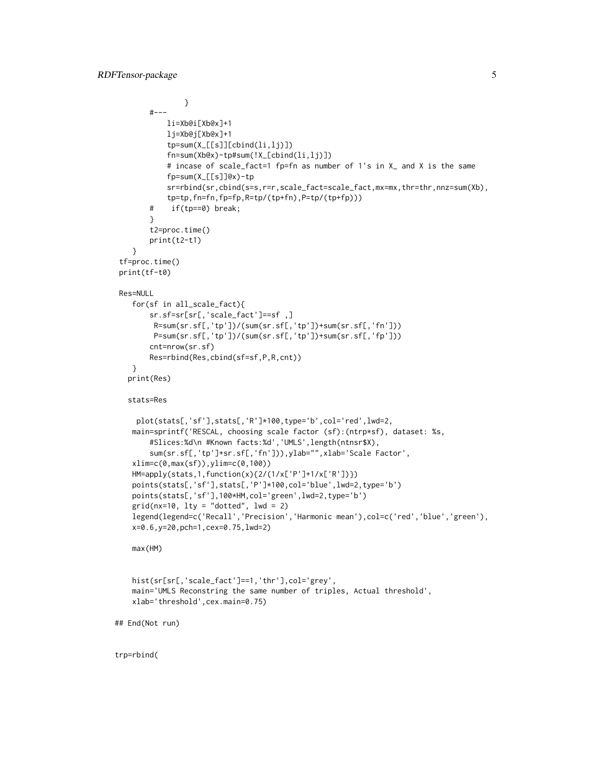trp=rbind(

```
}
       #---
            li=Xb@i[Xb@x]+1
            lj=Xb@j[Xb@x]+1
            tp=sum(X_[[s]][cbind(li,lj)])
            fn=sum(Xb@x)-tp#sum(!X_[cbind(li,lj)])
            # incase of scale_fact=1 fp=fn as number of 1's in X_ and X is the same
            fp=sum(X_[[s]]@x)-tp
            sr=rbind(sr,cbind(s=s,r=r,scale_fact=scale_fact,mx=mx,thr=thr,nnz=sum(Xb),
            tp=tp,fn=fn,fp=fp,R=tp/(tp+fn),P=tp/(tp+fp)))
       # if(tp==0) break;
       }
       t2=proc.time()
       print(t2-t1)
    }
 tf=proc.time()
 print(tf-t0)
 Res=NULL
    for(sf in all_scale_fact){
       sr.sf=sr[sr[,'scale_fact']==sf ,]
        R=sum(sr.sf[,'tp'])/(sum(sr.sf[,'tp'])+sum(sr.sf[,'fn']))
        P=sum(sr.sf[,'tp'])/(sum(sr.sf[,'tp'])+sum(sr.sf[,'fp']))
       cnt=nrow(sr.sf)
       Res=rbind(Res,cbind(sf=sf,P,R,cnt))
    }
   print(Res)
  stats=Res
    plot(stats[,'sf'],stats[,'R']*100,type='b',col='red',lwd=2,
   main=sprintf('RESCAL, choosing scale factor (sf):(ntrp*sf), dataset: %s,
       #Slices:%d\n #Known facts:%d','UMLS',length(ntnsr$X),
       sum(sr.sf[,'tp']+sr.sf[,'fn'])),ylab="",xlab='Scale Factor',
    xlim=c(0,max(sf)),ylim=c(0,100))
    HM=apply(stats,1,function(x){2/(1/x['P']+1/x['R'])})
   points(stats[,'sf'],stats[,'P']*100,col='blue',lwd=2,type='b')
   points(stats[,'sf'],100*HM,col='green',lwd=2,type='b')
    grid(nx=10, 1ty = "dotted", 1wd = 2)legend(legend=c('Recall','Precision','Harmonic mean'),col=c('red','blue','green'),
    x=0.6,y=20,pch=1,cex=0.75,lwd=2)
   max(HM)
   hist(sr[sr[,'scale_fact']==1,'thr'],col='grey',
   main='UMLS Reconstring the same number of triples, Actual threshold',
   xlab='threshold',cex.main=0.75)
## End(Not run)
```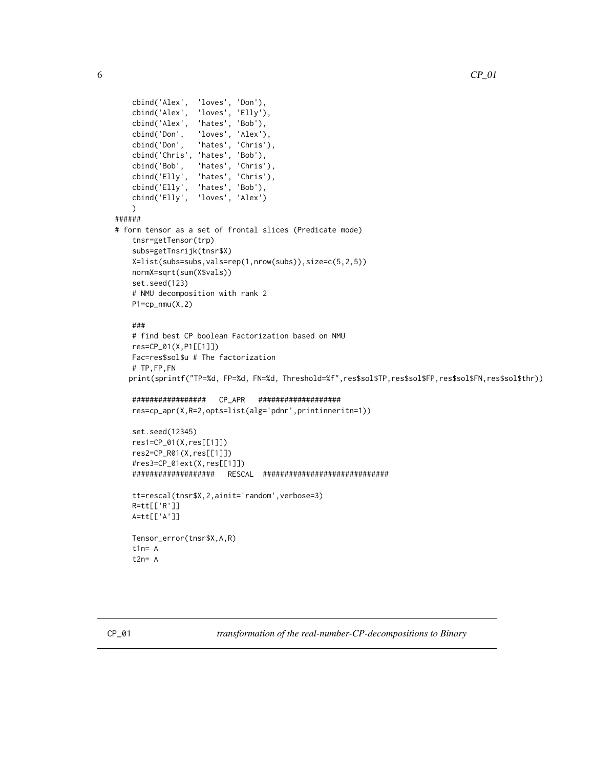```
cbind('Alex', 'loves', 'Don'),
   cbind('Alex', 'loves', 'Elly'),
    cbind('Alex', 'hates', 'Bob'),
    cbind('Don', 'loves', 'Alex'),
    cbind('Don', 'hates', 'Chris'),
    cbind('Chris', 'hates', 'Bob'),
   cbind('Bob', 'hates', 'Chris'),
   cbind('Elly', 'hates', 'Chris'),
   cbind('Elly', 'hates', 'Bob'),
   cbind('Elly', 'loves', 'Alex')
   )
######
# form tensor as a set of frontal slices (Predicate mode)
    tnsr=getTensor(trp)
    subs=getTnsrijk(tnsr$X)
   X=list(subs=subs,vals=rep(1,nrow(subs)),size=c(5,2,5))
   normX=sqrt(sum(X$vals))
   set.seed(123)
   # NMU decomposition with rank 2
   P1=cp_{mm}(X,2)###
    # find best CP boolean Factorization based on NMU
   res=CP_01(X,P1[[1]])
   Fac=res$sol$u # The factorization
    # TP,FP,FN
   print(sprintf("TP=%d, FP=%d, FN=%d, Threshold=%f",res$sol$TP,res$sol$FP,res$sol$FN,res$sol$thr))
    ################# CP_APR ###################
   res=cp_apr(X,R=2,opts=list(alg='pdnr',printinneritn=1))
   set.seed(12345)
   res1=CP_01(X,res[[1]])
   res2=CP_R01(X,res[[1]])
    #res3=CP_01ext(X,res[[1]])
    ################### RESCAL #############################
    tt=rescal(tnsr$X,2,ainit='random',verbose=3)
   R=tt[['R']]
   A=tt[['A']]
   Tensor_error(tnsr$X,A,R)
    t1n= At2n= A
```


<span id="page-5-1"></span>CP\_01 *transformation of the real-number-CP-decompositions to Binary*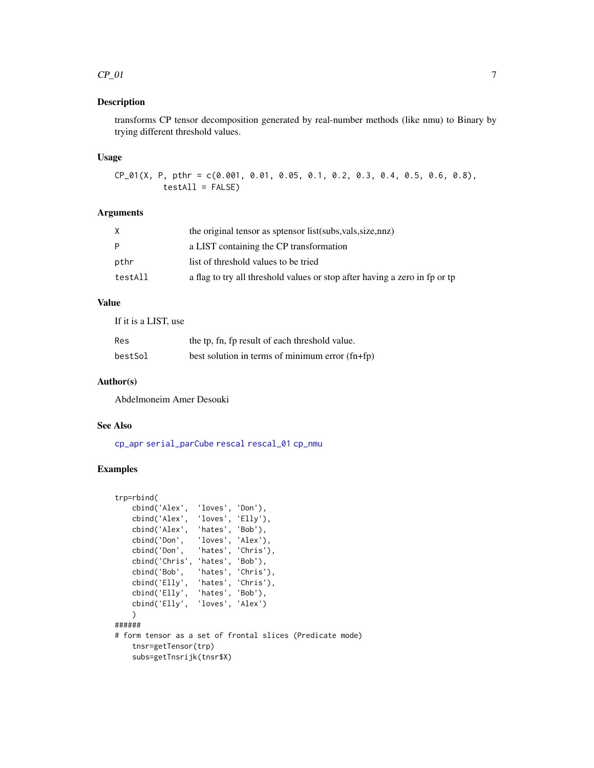#### <span id="page-6-0"></span> $CP_01$  7

#### Description

transforms CP tensor decomposition generated by real-number methods (like nmu) to Binary by trying different threshold values.

#### Usage

CP\_01(X, P, pthr = c(0.001, 0.01, 0.05, 0.1, 0.2, 0.3, 0.4, 0.5, 0.6, 0.8), testAll = FALSE)

# Arguments

| the original tensor as sptensor list (subs, vals, size, nnz)               |
|----------------------------------------------------------------------------|
| a LIST containing the CP transformation                                    |
| list of threshold values to be tried                                       |
| a flag to try all threshold values or stop after having a zero in fp or tp |
|                                                                            |

# Value

| If it is a LIST, use |                                                          |
|----------------------|----------------------------------------------------------|
| Res                  | the tp, fn, fp result of each threshold value.           |
| bestSol              | best solution in terms of minimum error $(\text{fn+fp})$ |

#### Author(s)

Abdelmoneim Amer Desouki

#### See Also

[cp\\_apr](#page-8-1) [serial\\_parCube](#page-19-1) [rescal](#page-15-1) [rescal\\_01](#page-18-1) [cp\\_nmu](#page-10-1)

# Examples

```
trp=rbind(
    cbind('Alex', 'loves', 'Don'),
    cbind('Alex', 'loves', 'Elly'),
    cbind('Alex', 'hates', 'Bob'),
    cbind('Don', 'loves', 'Alex'),
   cbind('Don', 'hates', 'Chris'),
   cbind('Chris', 'hates', 'Bob'),
   cbind('Bob', 'hates', 'Chris'),
    cbind('Elly', 'hates', 'Chris'),
    cbind('Elly', 'hates', 'Bob'),
   cbind('Elly', 'loves', 'Alex')
   )
######
# form tensor as a set of frontal slices (Predicate mode)
   tnsr=getTensor(trp)
   subs=getTnsrijk(tnsr$X)
```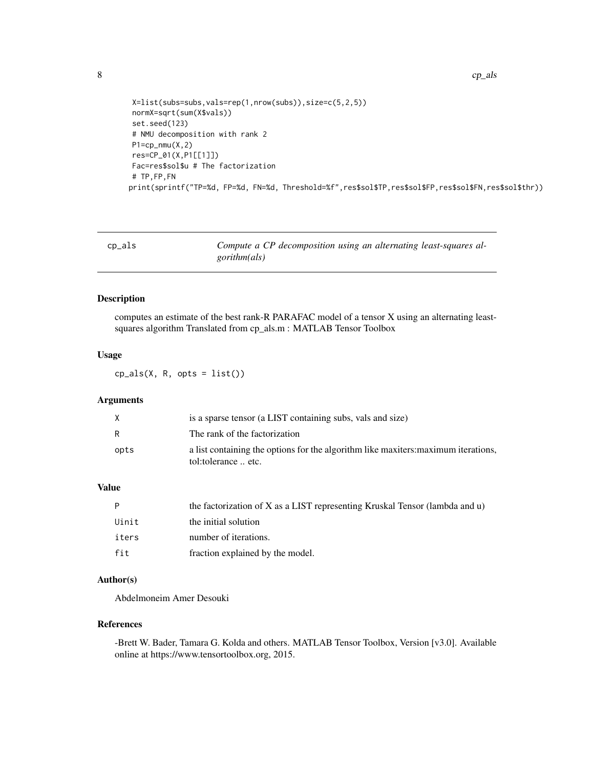```
X=list(subs=subs,vals=rep(1,nrow(subs)),size=c(5,2,5))
normX=sqrt(sum(X$vals))
set.seed(123)
# NMU decomposition with rank 2
P1=cp_nmu(X,2)
res=CP_01(X,P1[[1]])
Fac=res$sol$u # The factorization
# TP,FP,FN
print(sprintf("TP=%d, FP=%d, FN=%d, Threshold=%f",res$sol$TP,res$sol$FP,res$sol$FN,res$sol$thr))
```
<span id="page-7-1"></span>

| cp_als | Compute a CP decomposition using an alternating least-squares al- |
|--------|-------------------------------------------------------------------|
|        | <i>gorithm(als)</i>                                               |

# Description

computes an estimate of the best rank-R PARAFAC model of a tensor X using an alternating leastsquares algorithm Translated from cp\_als.m : MATLAB Tensor Toolbox

#### Usage

 $cp_als(X, R, opts = list())$ 

# Arguments

| X    | is a sparse tensor (a LIST containing subs, vals and size)                                                |
|------|-----------------------------------------------------------------------------------------------------------|
| R    | The rank of the factorization                                                                             |
| opts | a list containing the options for the algorithm like maxiters: maximum iterations,<br>tol:tolerance  etc. |

# Value

|       | the factorization of X as a LIST representing Kruskal Tensor (lambda and u) |
|-------|-----------------------------------------------------------------------------|
| Uinit | the initial solution                                                        |
| iters | number of iterations.                                                       |
| fit   | fraction explained by the model.                                            |

# Author(s)

Abdelmoneim Amer Desouki

# References

-Brett W. Bader, Tamara G. Kolda and others. MATLAB Tensor Toolbox, Version [v3.0]. Available online at https://www.tensortoolbox.org, 2015.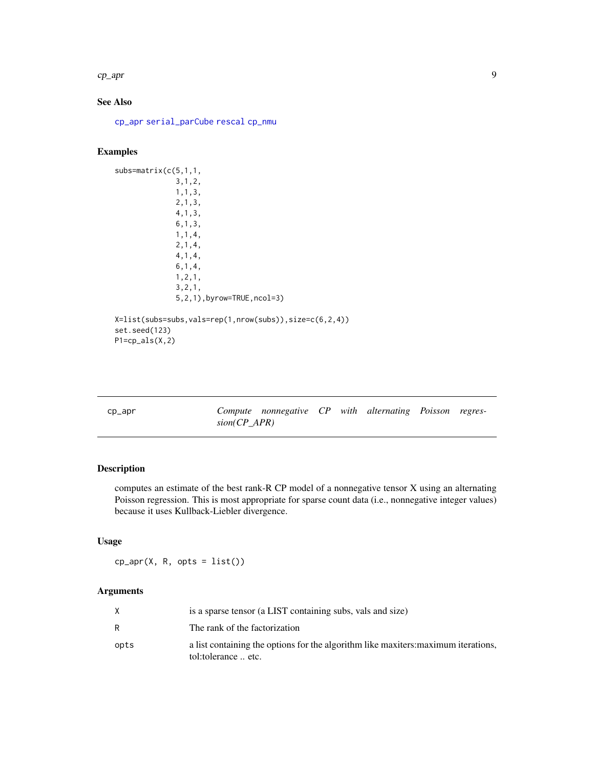<span id="page-8-0"></span>cp\_apr 9

# See Also

[cp\\_apr](#page-8-1) [serial\\_parCube](#page-19-1) [rescal](#page-15-1) [cp\\_nmu](#page-10-1)

# Examples

```
subs=matrix(c(5,1,1,
              3,1,2,
              1,1,3,
              2,1,3,
              4,1,3,
              6,1,3,
              1,1,4,
              2,1,4,
              4,1,4,
              6,1,4,
              1,2,1,
              3,2,1,
              5,2,1),byrow=TRUE,ncol=3)
X=list(subs=subs,vals=rep(1,nrow(subs)),size=c(6,2,4))
set.seed(123)
P1=cp_als(X,2)
```
<span id="page-8-1"></span>

| cp_apr | $sion(CP$ APR) | Compute nonnegative CP with alternating Poisson regres- |  |  |  |
|--------|----------------|---------------------------------------------------------|--|--|--|
|        |                |                                                         |  |  |  |

# Description

computes an estimate of the best rank-R CP model of a nonnegative tensor X using an alternating Poisson regression. This is most appropriate for sparse count data (i.e., nonnegative integer values) because it uses Kullback-Liebler divergence.

# Usage

 $cp_apr(X, R, opts = list())$ 

# Arguments

|      | is a sparse tensor (a LIST containing subs, vals and size)                                                |
|------|-----------------------------------------------------------------------------------------------------------|
|      | The rank of the factorization                                                                             |
| opts | a list containing the options for the algorithm like maxiters: maximum iterations,<br>tol:tolerance  etc. |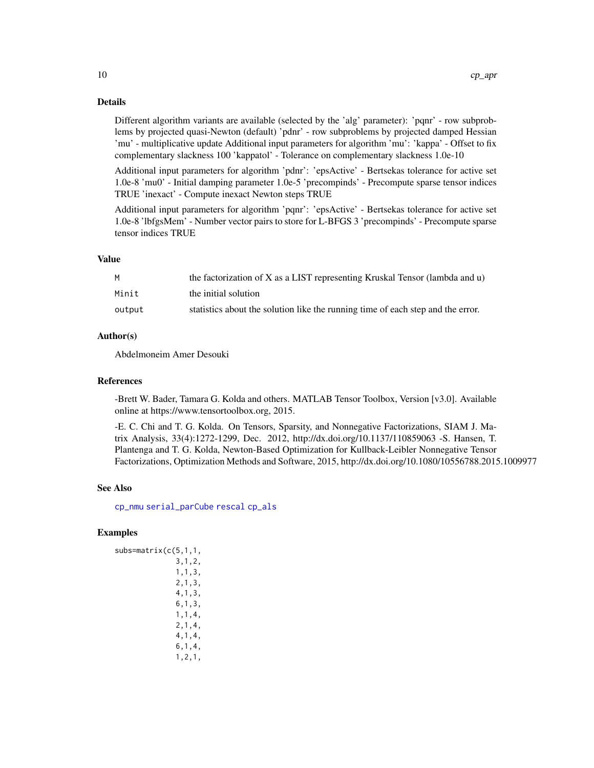# <span id="page-9-0"></span>Details

Different algorithm variants are available (selected by the 'alg' parameter): 'pqnr' - row subproblems by projected quasi-Newton (default) 'pdnr' - row subproblems by projected damped Hessian 'mu' - multiplicative update Additional input parameters for algorithm 'mu': 'kappa' - Offset to fix complementary slackness 100 'kappatol' - Tolerance on complementary slackness 1.0e-10

Additional input parameters for algorithm 'pdnr': 'epsActive' - Bertsekas tolerance for active set 1.0e-8 'mu0' - Initial damping parameter 1.0e-5 'precompinds' - Precompute sparse tensor indices TRUE 'inexact' - Compute inexact Newton steps TRUE

Additional input parameters for algorithm 'pqnr': 'epsActive' - Bertsekas tolerance for active set 1.0e-8 'lbfgsMem' - Number vector pairs to store for L-BFGS 3 'precompinds' - Precompute sparse tensor indices TRUE

#### Value

|        | the factorization of X as a LIST representing Kruskal Tensor (lambda and u)     |
|--------|---------------------------------------------------------------------------------|
| Minit  | the initial solution                                                            |
| output | statistics about the solution like the running time of each step and the error. |

# Author(s)

Abdelmoneim Amer Desouki

#### References

-Brett W. Bader, Tamara G. Kolda and others. MATLAB Tensor Toolbox, Version [v3.0]. Available online at https://www.tensortoolbox.org, 2015.

-E. C. Chi and T. G. Kolda. On Tensors, Sparsity, and Nonnegative Factorizations, SIAM J. Matrix Analysis, 33(4):1272-1299, Dec. 2012, http://dx.doi.org/10.1137/110859063 -S. Hansen, T. Plantenga and T. G. Kolda, Newton-Based Optimization for Kullback-Leibler Nonnegative Tensor Factorizations, Optimization Methods and Software, 2015, http://dx.doi.org/10.1080/10556788.2015.1009977

#### See Also

[cp\\_nmu](#page-10-1) [serial\\_parCube](#page-19-1) [rescal](#page-15-1) [cp\\_als](#page-7-1)

# Examples

```
subs=matrix(c(5,1,1,
              3,1,2,
              1,1,3,
              2,1,3,
              4,1,3,
              6,1,3,
              1,1,4,
              2,1,4,
              4,1,4,
              6,1,4,
              1,2,1,
```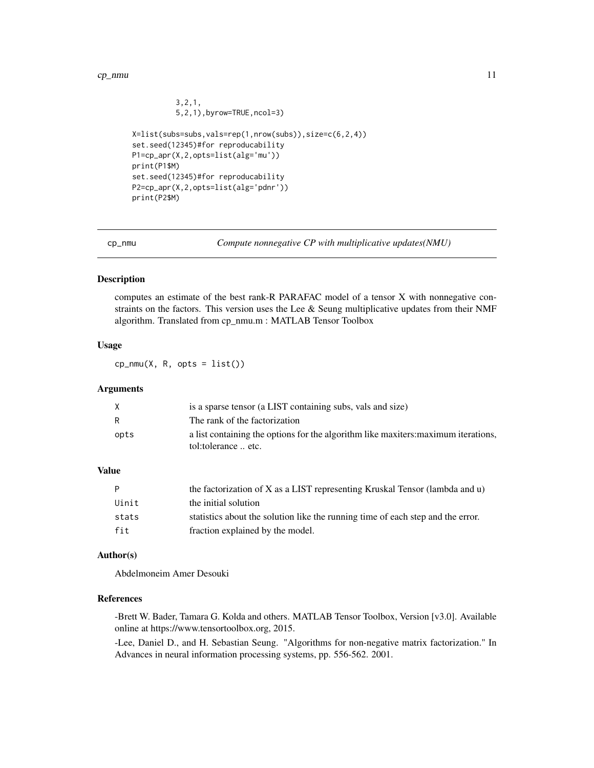#### <span id="page-10-0"></span> $cp\_nmu$  11

```
3,2,1,
          5,2,1),byrow=TRUE,ncol=3)
X=list(subs=subs,vals=rep(1,nrow(subs)),size=c(6,2,4))
set.seed(12345)#for reproducability
P1=cp_apr(X,2,opts=list(alg='mu'))
print(P1$M)
set.seed(12345)#for reproducability
P2=cp_apr(X,2,opts=list(alg='pdnr'))
print(P2$M)
```
<span id="page-10-1"></span>

cp\_nmu *Compute nonnegative CP with multiplicative updates(NMU)*

#### Description

computes an estimate of the best rank-R PARAFAC model of a tensor X with nonnegative constraints on the factors. This version uses the Lee  $\&$  Seung multiplicative updates from their NMF algorithm. Translated from cp\_nmu.m : MATLAB Tensor Toolbox

## Usage

 $cp_{mm}(X, R, opts = list())$ 

# Arguments

| X    | is a sparse tensor (a LIST containing subs, vals and size)                                                |
|------|-----------------------------------------------------------------------------------------------------------|
| R    | The rank of the factorization                                                                             |
| opts | a list containing the options for the algorithm like maxiters: maximum iterations,<br>tol:tolerance  etc. |

## Value

| P     | the factorization of X as a LIST representing Kruskal Tensor (lambda and u)     |
|-------|---------------------------------------------------------------------------------|
| Uinit | the initial solution                                                            |
| stats | statistics about the solution like the running time of each step and the error. |
| fit   | fraction explained by the model.                                                |

#### Author(s)

Abdelmoneim Amer Desouki

#### References

-Brett W. Bader, Tamara G. Kolda and others. MATLAB Tensor Toolbox, Version [v3.0]. Available online at https://www.tensortoolbox.org, 2015.

-Lee, Daniel D., and H. Sebastian Seung. "Algorithms for non-negative matrix factorization." In Advances in neural information processing systems, pp. 556-562. 2001.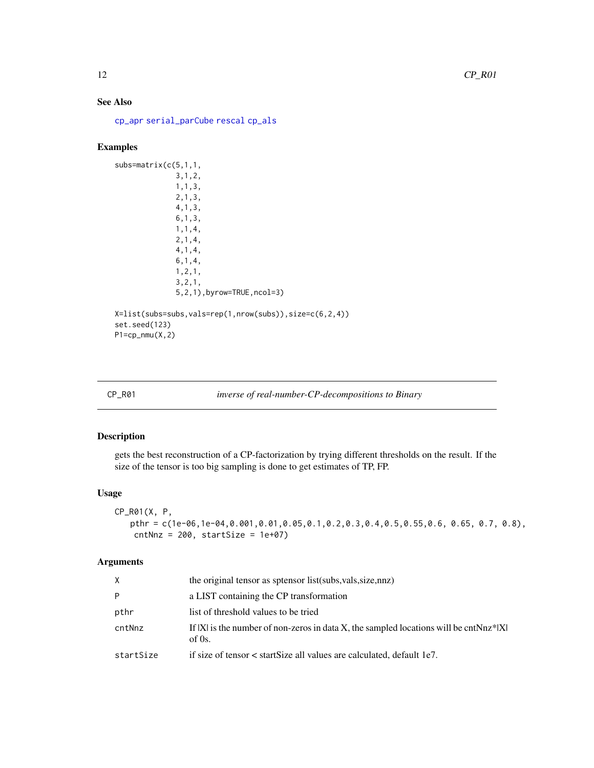# <span id="page-11-0"></span>See Also

[cp\\_apr](#page-8-1) [serial\\_parCube](#page-19-1) [rescal](#page-15-1) [cp\\_als](#page-7-1)

# Examples

```
subs=matrix(c(5,1,1,
              3,1,2,
              1,1,3,
              2,1,3,
              4,1,3,
              6,1,3,
              1,1,4,
              2,1,4,
              4,1,4,
              6,1,4,
              1,2,1,
              3,2,1,
              5,2,1),byrow=TRUE,ncol=3)
X=list(subs=subs,vals=rep(1,nrow(subs)),size=c(6,2,4))
set.seed(123)
P1=cp_nmu(X,2)
```
#### CP\_R01 *inverse of real-number-CP-decompositions to Binary*

# Description

gets the best reconstruction of a CP-factorization by trying different thresholds on the result. If the size of the tensor is too big sampling is done to get estimates of TP, FP.

#### Usage

```
CP_R01(X, P,
   pthr = c(1e-06,1e-04,0.001,0.01,0.05,0.1,0.2,0.3,0.4,0.5,0.55,0.6, 0.65, 0.7, 0.8),
   cntNnz = 200, startSize = 1e+07
```
# Arguments

| X.        | the original tensor as sptensor list (subs, vals, size, nnz)                                            |
|-----------|---------------------------------------------------------------------------------------------------------|
| P         | a LIST containing the CP transformation                                                                 |
| pthr      | list of threshold values to be tried                                                                    |
| cntNnz    | If $ X $ is the number of non-zeros in data X, the sampled locations will be cntNnz* $ X $<br>of $0s$ . |
| startSize | if size of tensor $\lt$ start Size all values are calculated, default 1e7.                              |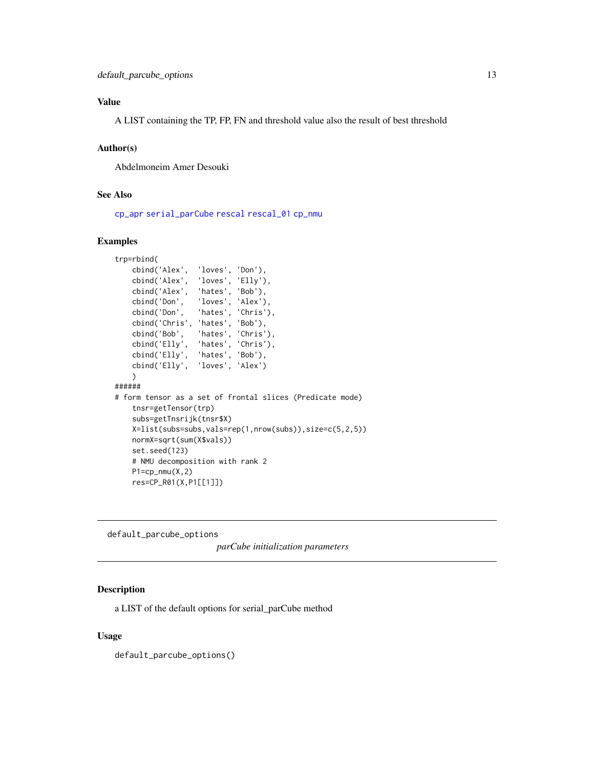# <span id="page-12-0"></span>Value

A LIST containing the TP, FP, FN and threshold value also the result of best threshold

#### Author(s)

Abdelmoneim Amer Desouki

#### See Also

[cp\\_apr](#page-8-1) [serial\\_parCube](#page-19-1) [rescal](#page-15-1) [rescal\\_01](#page-18-1) [cp\\_nmu](#page-10-1)

# Examples

```
trp=rbind(
   cbind('Alex', 'loves', 'Don'),
    cbind('Alex', 'loves', 'Elly'),
    cbind('Alex', 'hates', 'Bob'),
    cbind('Don', 'loves', 'Alex'),
    cbind('Don', 'hates', 'Chris'),
    cbind('Chris', 'hates', 'Bob'),
    cbind('Bob', 'hates', 'Chris'),
    cbind('Elly', 'hates', 'Chris'),
    cbind('Elly', 'hates', 'Bob'),
   cbind('Elly', 'loves', 'Alex')
   )
######
# form tensor as a set of frontal slices (Predicate mode)
   tnsr=getTensor(trp)
    subs=getTnsrijk(tnsr$X)
   X=list(subs=subs,vals=rep(1,nrow(subs)),size=c(5,2,5))
   normX=sqrt(sum(X$vals))
   set.seed(123)
   # NMU decomposition with rank 2
   P1=cp_{nnu}(X,2)res=CP_R01(X,P1[[1]])
```
default\_parcube\_options

# *parCube initialization parameters*

#### Description

a LIST of the default options for serial\_parCube method

#### Usage

default\_parcube\_options()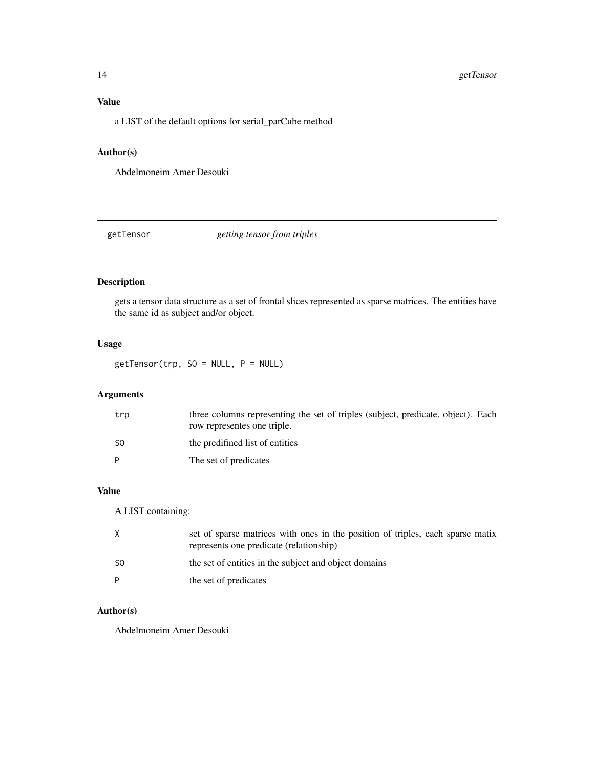# <span id="page-13-0"></span>Value

a LIST of the default options for serial\_parCube method

# Author(s)

Abdelmoneim Amer Desouki

<span id="page-13-1"></span>getTensor *getting tensor from triples*

# Description

gets a tensor data structure as a set of frontal slices represented as sparse matrices. The entities have the same id as subject and/or object.

# Usage

 $getTensor(trp, SO = NULL, P = NULL)$ 

# Arguments

| trp | three columns representing the set of triples (subject, predicate, object). Each<br>row representes one triple. |
|-----|-----------------------------------------------------------------------------------------------------------------|
| -SO | the predifined list of entities                                                                                 |
| P   | The set of predicates                                                                                           |

# Value

A LIST containing:

| X   | set of sparse matrices with ones in the position of triples, each sparse matix<br>represents one predicate (relationship) |
|-----|---------------------------------------------------------------------------------------------------------------------------|
| -SO | the set of entities in the subject and object domains                                                                     |
| P   | the set of predicates                                                                                                     |

# Author(s)

Abdelmoneim Amer Desouki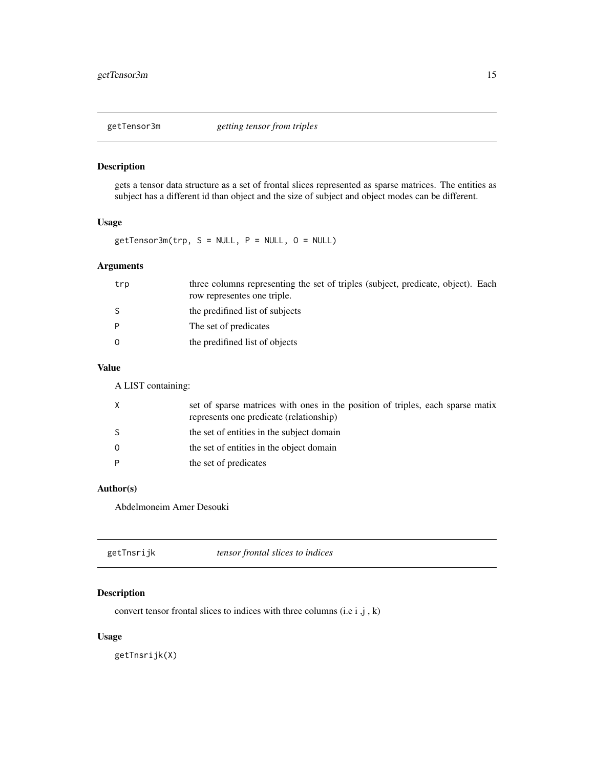<span id="page-14-0"></span>

# Description

gets a tensor data structure as a set of frontal slices represented as sparse matrices. The entities as subject has a different id than object and the size of subject and object modes can be different.

#### Usage

 $getTensor3m(trp, S = NULL, P = NULL, O = NULL)$ 

# Arguments

| trp      | three columns representing the set of triples (subject, predicate, object). Each<br>row representes one triple. |
|----------|-----------------------------------------------------------------------------------------------------------------|
| -S       | the predifined list of subjects                                                                                 |
| P        | The set of predicates                                                                                           |
| $\Omega$ | the predifined list of objects                                                                                  |

# Value

A LIST containing:

| X       | set of sparse matrices with ones in the position of triples, each sparse matix<br>represents one predicate (relationship) |
|---------|---------------------------------------------------------------------------------------------------------------------------|
| -S      | the set of entities in the subject domain                                                                                 |
| $\circ$ | the set of entities in the object domain                                                                                  |
| P       | the set of predicates                                                                                                     |

# Author(s)

Abdelmoneim Amer Desouki

<span id="page-14-1"></span>

| tensor frontal slices to indices<br>getTnsrijk |  |
|------------------------------------------------|--|
|------------------------------------------------|--|

# Description

convert tensor frontal slices to indices with three columns (i.e  $i, j, k$ )

# Usage

getTnsrijk(X)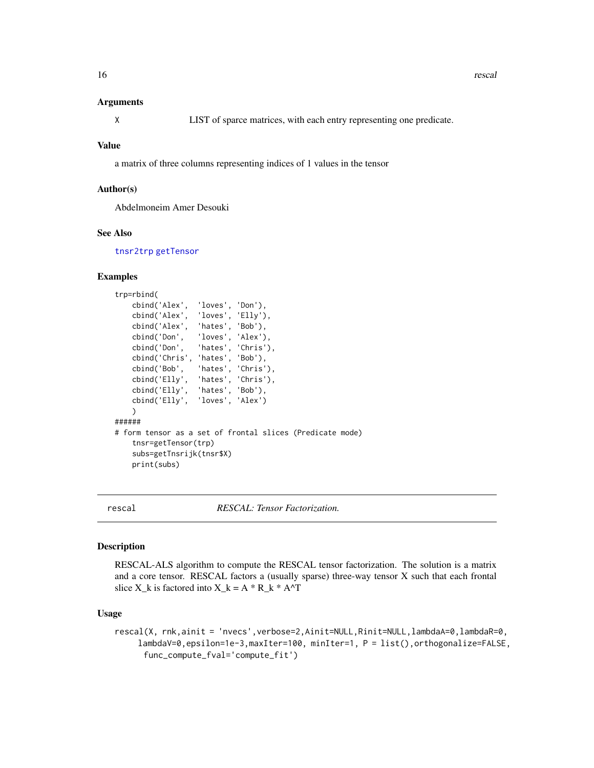#### <span id="page-15-0"></span>Arguments

X LIST of sparce matrices, with each entry representing one predicate.

#### Value

a matrix of three columns representing indices of 1 values in the tensor

#### Author(s)

Abdelmoneim Amer Desouki

#### See Also

[tnsr2trp](#page-23-1) [getTensor](#page-13-1)

# Examples

```
trp=rbind(
   cbind('Alex', 'loves', 'Don'),
   cbind('Alex', 'loves', 'Elly'),
   cbind('Alex', 'hates', 'Bob'),
   cbind('Don', 'loves', 'Alex'),
    cbind('Don', 'hates', 'Chris'),
    cbind('Chris', 'hates', 'Bob'),
    cbind('Bob', 'hates', 'Chris'),
    cbind('Elly', 'hates', 'Chris'),
   cbind('Elly', 'hates', 'Bob'),
   cbind('Elly', 'loves', 'Alex')
    )
######
# form tensor as a set of frontal slices (Predicate mode)
    tnsr=getTensor(trp)
    subs=getTnsrijk(tnsr$X)
   print(subs)
```
<span id="page-15-1"></span>

```
rescal RESCAL: Tensor Factorization.
```
#### Description

RESCAL-ALS algorithm to compute the RESCAL tensor factorization. The solution is a matrix and a core tensor. RESCAL factors a (usually sparse) three-way tensor X such that each frontal slice X k is factored into X k = A \* R k \* A^T

#### Usage

rescal(X, rnk,ainit = 'nvecs',verbose=2,Ainit=NULL,Rinit=NULL,lambdaA=0,lambdaR=0, lambdaV=0,epsilon=1e-3,maxIter=100, minIter=1, P = list(),orthogonalize=FALSE, func\_compute\_fval='compute\_fit')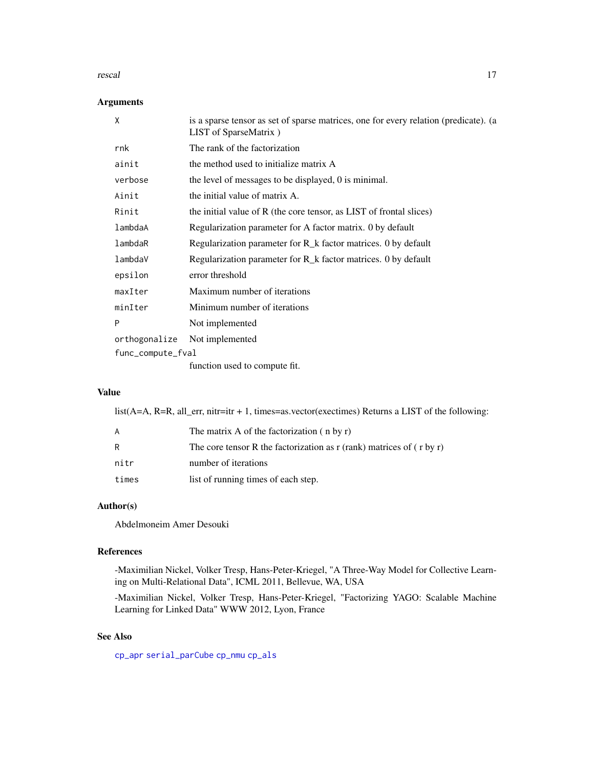#### <span id="page-16-0"></span>rescal and the contract of the contract of the contract of the contract of the contract of the contract of the contract of the contract of the contract of the contract of the contract of the contract of the contract of the

# Arguments

|                   | X             | is a sparse tensor as set of sparse matrices, one for every relation (predicate). (a<br>LIST of SparseMatrix) |
|-------------------|---------------|---------------------------------------------------------------------------------------------------------------|
|                   | rnk           | The rank of the factorization                                                                                 |
|                   | ainit         | the method used to initialize matrix A                                                                        |
|                   | verbose       | the level of messages to be displayed, 0 is minimal.                                                          |
|                   | Ainit         | the initial value of matrix A.                                                                                |
|                   | Rinit         | the initial value of R (the core tensor, as LIST of frontal slices)                                           |
|                   | lambdaA       | Regularization parameter for A factor matrix. 0 by default                                                    |
|                   | lambdaR       | Regularization parameter for $R_k$ factor matrices. 0 by default                                              |
|                   | lambdaV       | Regularization parameter for R_k factor matrices. 0 by default                                                |
|                   | epsilon       | error threshold                                                                                               |
|                   | maxIter       | Maximum number of iterations                                                                                  |
|                   | minIter       | Minimum number of iterations                                                                                  |
|                   | P             | Not implemented                                                                                               |
|                   | orthogonalize | Not implemented                                                                                               |
| func_compute_fval |               |                                                                                                               |
|                   |               | function used to compute fit.                                                                                 |

# Value

list(A=A, R=R, all\_err, nitr=itr + 1, times=as.vector(exectimes) Returns a LIST of the following:

| A     | The matrix A of the factorization $(nby r)$                                |
|-------|----------------------------------------------------------------------------|
| R     | The core tensor R the factorization as $r$ (rank) matrices of $(r$ by $r)$ |
| nitr  | number of iterations                                                       |
| times | list of running times of each step.                                        |

# Author(s)

Abdelmoneim Amer Desouki

# References

-Maximilian Nickel, Volker Tresp, Hans-Peter-Kriegel, "A Three-Way Model for Collective Learning on Multi-Relational Data", ICML 2011, Bellevue, WA, USA

-Maximilian Nickel, Volker Tresp, Hans-Peter-Kriegel, "Factorizing YAGO: Scalable Machine Learning for Linked Data" WWW 2012, Lyon, France

# See Also

[cp\\_apr](#page-8-1) [serial\\_parCube](#page-19-1) [cp\\_nmu](#page-10-1) [cp\\_als](#page-7-1)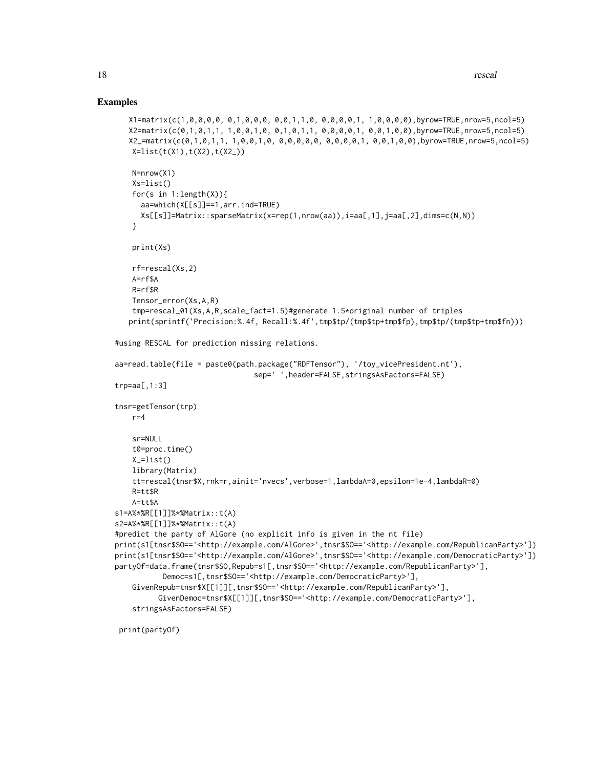### Examples

```
X1=matrix(c(1,0,0,0,0, 0,1,0,0,0, 0,0,1,1,0, 0,0,0,0,1, 1,0,0,0,0),byrow=TRUE,nrow=5,ncol=5)
   X2=matrix(c(0,1,0,1,1, 1,0,0,1,0, 0,1,0,1,1, 0,0,0,0,1, 0,0,1,0,0),byrow=TRUE,nrow=5,ncol=5)
   X2_=matrix(c(0,1,0,1,1, 1,0,0,1,0, 0,0,0,0,0, 0,0,0,0,1, 0,0,1,0,0),byrow=TRUE,nrow=5,ncol=5)
   X=list(t(X1),t(X2),t(X2))N=nrow(X1)
   Xs=list()
    for(s in 1:length(X)){
     aa=which(X[[s]]==1,arr.ind=TRUE)
     Xs[[s]] = Matrix::sparseMatrix(x=rep(1,nrow(aa)),i=aa[,1],j=aa[,2],dims=c(N,N))}
   print(Xs)
    rf=rescal(Xs,2)
   A=rf$A
    R=rf$R
   Tensor_error(Xs,A,R)
    tmp=rescal_01(Xs,A,R,scale_fact=1.5)#generate 1.5*original number of triples
   print(sprintf('Precision:%.4f, Recall:%.4f',tmp$tp/(tmp$tp+tmp$fp),tmp$tp/(tmp$tp+tmp$fn)))
#using RESCAL for prediction missing relations.
aa=read.table(file = paste0(path.package("RDFTensor"), '/toy_vicePresident.nt'),
                                sep=' ',header=FALSE,stringsAsFactors=FALSE)
trp=aa[,1:3]
tnsr=getTensor(trp)
   r=4sr=NULL
   t0=proc.time()
   X_=list()
    library(Matrix)
    tt=rescal(tnsr$X,rnk=r,ainit='nvecs',verbose=1,lambdaA=0,epsilon=1e-4,lambdaR=0)
   R=tt$R
   A=tt$A
s1=A%*%R[[1]]%*%Matrix::t(A)
s2=A%*%R[[1]]%*%Matrix::t(A)
#predict the party of AlGore (no explicit info is given in the nt file)
print(s1[tnsr$SO=='<http://example.com/AlGore>',tnsr$SO=='<http://example.com/RepublicanParty>'])
print(s1[tnsr$SO=='<http://example.com/AlGore>',tnsr$SO=='<http://example.com/DemocraticParty>'])
partyOf=data.frame(tnsr$SO,Repub=s1[,tnsr$SO=='<http://example.com/RepublicanParty>'],
           Democ=s1[,tnsr$SO=='<http://example.com/DemocraticParty>'],
    GivenRepub=tnsr$X[[1]][,tnsr$SO=='<http://example.com/RepublicanParty>'],
          GivenDemoc=tnsr$X[[1]][,tnsr$SO=='<http://example.com/DemocraticParty>'],
    stringsAsFactors=FALSE)
```
print(partyOf)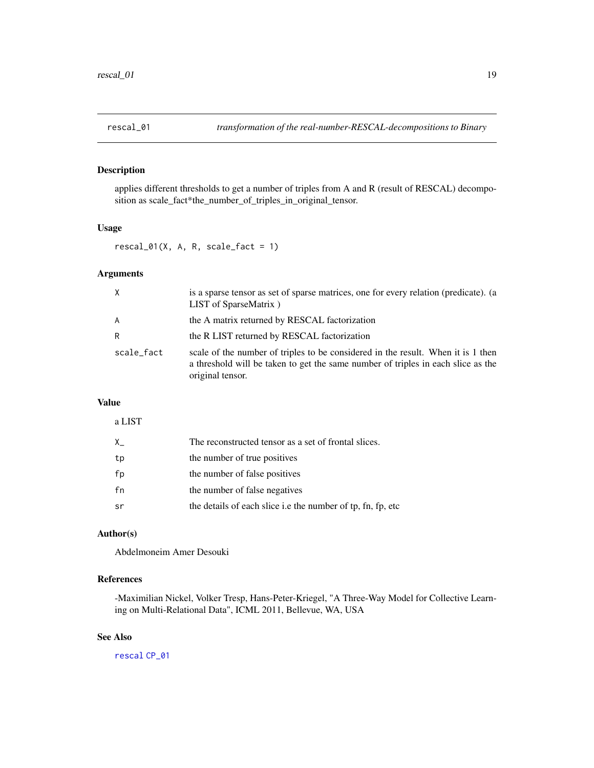# <span id="page-18-1"></span><span id="page-18-0"></span>Description

applies different thresholds to get a number of triples from A and R (result of RESCAL) decomposition as scale\_fact\*the\_number\_of\_triples\_in\_original\_tensor.

#### Usage

 $rescal_01(X, A, R, scale_fact = 1)$ 

# Arguments

| X          | is a sparse tensor as set of sparse matrices, one for every relation (predicate). (a<br>LIST of SparseMatrix)                                                                            |
|------------|------------------------------------------------------------------------------------------------------------------------------------------------------------------------------------------|
| A          | the A matrix returned by RESCAL factorization                                                                                                                                            |
| R          | the R LIST returned by RESCAL factorization                                                                                                                                              |
| scale_fact | scale of the number of triples to be considered in the result. When it is 1 then<br>a threshold will be taken to get the same number of triples in each slice as the<br>original tensor. |

# Value

| a LIST |                                                             |
|--------|-------------------------------------------------------------|
| X      | The reconstructed tensor as a set of frontal slices.        |
| tp     | the number of true positives                                |
| fp     | the number of false positives                               |
| fn     | the number of false negatives                               |
| .sr    | the details of each slice i.e the number of tp, fn, fp, etc |

# Author(s)

Abdelmoneim Amer Desouki

# References

-Maximilian Nickel, Volker Tresp, Hans-Peter-Kriegel, "A Three-Way Model for Collective Learning on Multi-Relational Data", ICML 2011, Bellevue, WA, USA

# See Also

[rescal](#page-15-1) [CP\\_01](#page-5-1)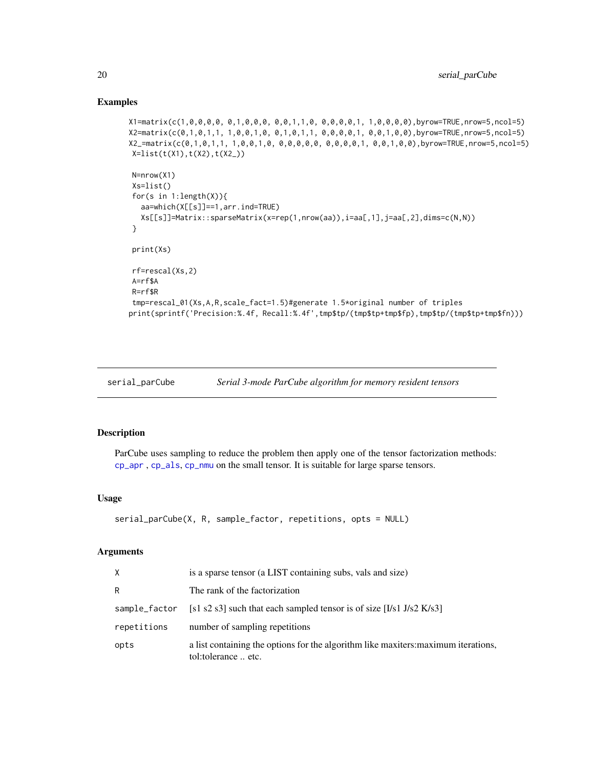### Examples

```
X1=matrix(c(1,0,0,0,0, 0,1,0,0,0, 0,0,1,1,0, 0,0,0,0,1, 1,0,0,0,0),byrow=TRUE,nrow=5,ncol=5)
X2=matrix(c(0,1,0,1,1, 1,0,0,1,0, 0,1,0,1,1, 0,0,0,0,1, 0,0,1,0,0),byrow=TRUE,nrow=5,ncol=5)
X2_=matrix(c(0,1,0,1,1, 1,0,0,1,0, 0,0,0,0,0, 0,0,0,0,1, 0,0,1,0,0),byrow=TRUE,nrow=5,ncol=5)
X=list(t(X1),t(X2),t(X2_))
N=nrow(X1)
Xs=list()
for(s in 1:length(X)){
  aa=which(X[[s]]==1,arr.ind=TRUE)
  Xs[[s]]=Matrix::sparseMatrix(x=rep(1,nrow(aa)),i=aa[,1],j=aa[,2],dims=c(N,N))
}
print(Xs)
rf=rescal(Xs,2)
A=rf$A
R=rf$R
tmp=rescal_01(Xs,A,R,scale_fact=1.5)#generate 1.5*original number of triples
print(sprintf('Precision:%.4f, Recall:%.4f',tmp$tp/(tmp$tp+tmp$fp),tmp$tp/(tmp$tp+tmp$fn)))
```

```
serial_parCube Serial 3-mode ParCube algorithm for memory resident tensors
```
#### Description

ParCube uses sampling to reduce the problem then apply one of the tensor factorization methods: [cp\\_apr](#page-8-1) , [cp\\_als](#page-7-1), [cp\\_nmu](#page-10-1) on the small tensor. It is suitable for large sparse tensors.

# Usage

```
serial_parCube(X, R, sample_factor, repetitions, opts = NULL)
```
#### Arguments

| X             | is a sparse tensor (a LIST containing subs, vals and size)                                                |  |
|---------------|-----------------------------------------------------------------------------------------------------------|--|
| R             | The rank of the factorization                                                                             |  |
| sample_factor | [s1 s2 s3] such that each sampled tensor is of size $[I/s1 J/s2 K/s3]$                                    |  |
| repetitions   | number of sampling repetitions                                                                            |  |
| opts          | a list containing the options for the algorithm like maxiters: maximum iterations,<br>tol:tolerance  etc. |  |

<span id="page-19-0"></span>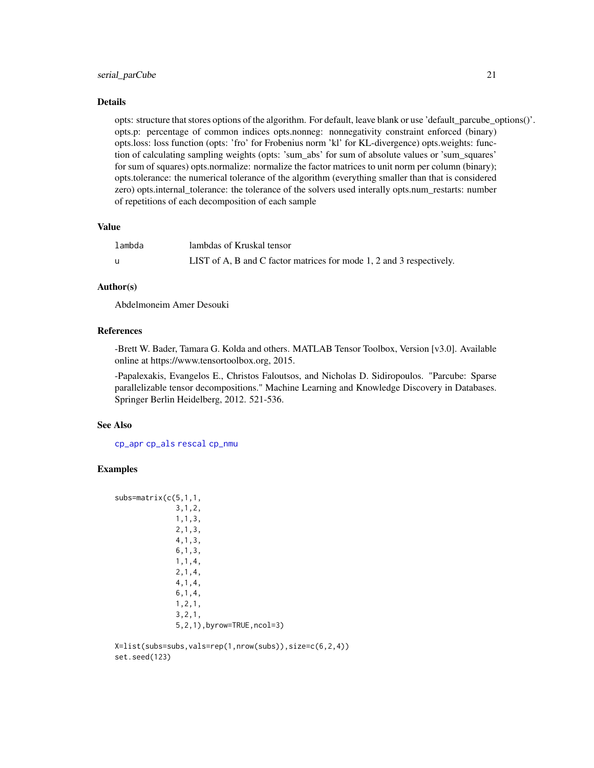#### <span id="page-20-0"></span>serial\_parCube 21

#### Details

opts: structure that stores options of the algorithm. For default, leave blank or use 'default\_parcube\_options()'. opts.p: percentage of common indices opts.nonneg: nonnegativity constraint enforced (binary) opts.loss: loss function (opts: 'fro' for Frobenius norm 'kl' for KL-divergence) opts.weights: function of calculating sampling weights (opts: 'sum\_abs' for sum of absolute values or 'sum\_squares' for sum of squares) opts.normalize: normalize the factor matrices to unit norm per column (binary); opts.tolerance: the numerical tolerance of the algorithm (everything smaller than that is considered zero) opts.internal\_tolerance: the tolerance of the solvers used interally opts.num\_restarts: number of repetitions of each decomposition of each sample

#### Value

| lambda | lambdas of Kruskal tensor                                            |
|--------|----------------------------------------------------------------------|
|        | LIST of A, B and C factor matrices for mode 1, 2 and 3 respectively. |

# Author(s)

Abdelmoneim Amer Desouki

# References

-Brett W. Bader, Tamara G. Kolda and others. MATLAB Tensor Toolbox, Version [v3.0]. Available online at https://www.tensortoolbox.org, 2015.

-Papalexakis, Evangelos E., Christos Faloutsos, and Nicholas D. Sidiropoulos. "Parcube: Sparse parallelizable tensor decompositions." Machine Learning and Knowledge Discovery in Databases. Springer Berlin Heidelberg, 2012. 521-536.

#### See Also

[cp\\_apr](#page-8-1) [cp\\_als](#page-7-1) [rescal](#page-15-1) [cp\\_nmu](#page-10-1)

# Examples

```
subs=matrix(c(5,1,1,
              3,1,2,
              1,1,3,
              2,1,3,
              4,1,3,
              6,1,3,
              1,1,4,
              2,1,4,
              4,1,4,
              6,1,4,
              1,2,1,
              3,2,1,
              5,2,1),byrow=TRUE,ncol=3)
```
X=list(subs=subs,vals=rep(1,nrow(subs)),size=c(6,2,4)) set.seed(123)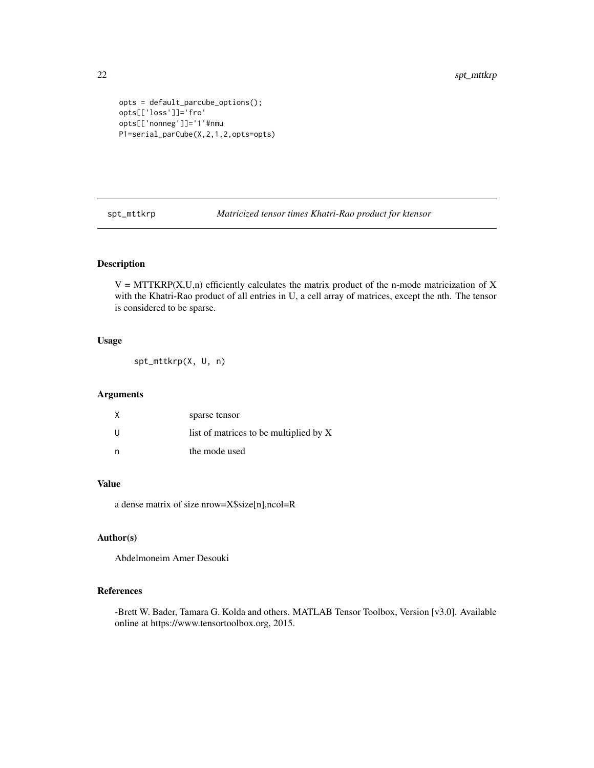```
opts = default_parcube_options();
opts[['loss']]='fro'
opts[['nonneg']]='1'#nmu
P1=serial_parCube(X,2,1,2,opts=opts)
```
spt\_mttkrp *Matricized tensor times Khatri-Rao product for ktensor*

# Description

 $V = MTTKRP(X, U, n)$  efficiently calculates the matrix product of the n-mode matricization of X with the Khatri-Rao product of all entries in U, a cell array of matrices, except the nth. The tensor is considered to be sparse.

# Usage

spt\_mttkrp(X, U, n)

# Arguments

| Χ | sparse tensor                          |
|---|----------------------------------------|
| U | list of matrices to be multiplied by X |
| n | the mode used                          |

## Value

a dense matrix of size nrow=X\$size[n],ncol=R

# Author(s)

Abdelmoneim Amer Desouki

### References

-Brett W. Bader, Tamara G. Kolda and others. MATLAB Tensor Toolbox, Version [v3.0]. Available online at https://www.tensortoolbox.org, 2015.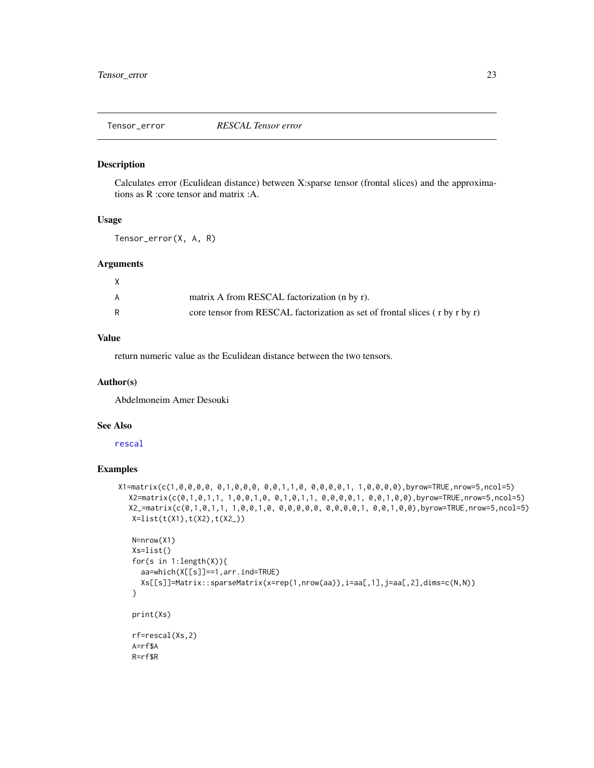<span id="page-22-0"></span>

# Description

Calculates error (Eculidean distance) between X:sparse tensor (frontal slices) and the approximations as R :core tensor and matrix :A.

#### Usage

Tensor\_error(X, A, R)

#### Arguments

| A | matrix A from RESCAL factorization (n by r).                                       |
|---|------------------------------------------------------------------------------------|
|   | core tensor from RESCAL factorization as set of frontal slices $($ r by r by r $)$ |

# Value

return numeric value as the Eculidean distance between the two tensors.

#### Author(s)

Abdelmoneim Amer Desouki

# See Also

[rescal](#page-15-1)

# Examples

```
X1=matrix(c(1,0,0,0,0, 0,1,0,0,0, 0,0,1,1,0, 0,0,0,0,1, 1,0,0,0,0),byrow=TRUE,nrow=5,ncol=5)
  X2=matrix(c(0,1,0,1,1, 1,0,0,1,0, 0,1,0,1,1, 0,0,0,0,1, 0,0,1,0,0),byrow=TRUE,nrow=5,ncol=5)
  X2_=matrix(c(0,1,0,1,1, 1,0,0,1,0, 0,0,0,0,0, 0,0,0,0,1, 0,0,1,0,0),byrow=TRUE,nrow=5,ncol=5)
   X=list(t(X1),t(X2),t(X2_
```

```
N=nrow(X1)
Xs=list()
for(s in 1:length(X)){
  aa=which(X[[s]]==1,arr.ind=TRUE)
  Xs[[s]]=Matrix::sparseMatrix(x=rep(1,nrow(aa)),i=aa[,1],j=aa[,2],dims=c(N,N))
}
print(Xs)
rf=rescal(Xs,2)
A=rf$A
R=rf$R
```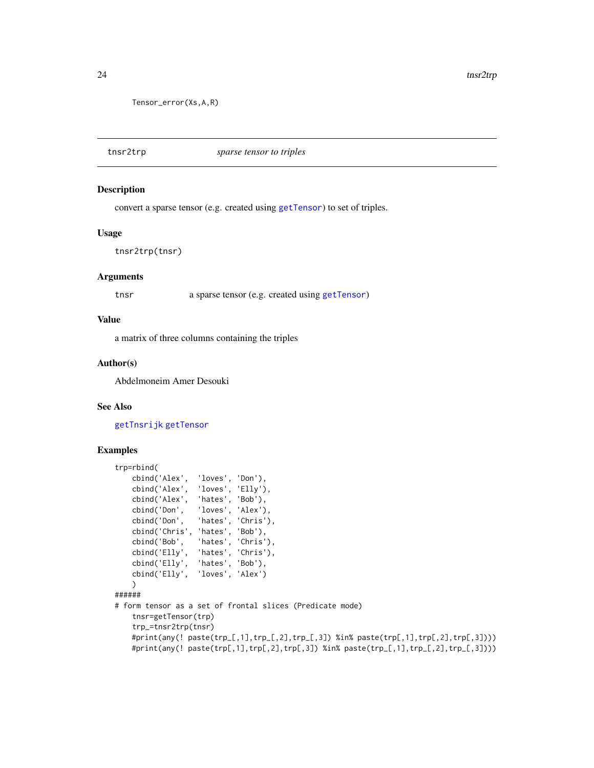```
Tensor_error(Xs,A,R)
```
<span id="page-23-1"></span>tnsr2trp *sparse tensor to triples*

#### Description

convert a sparse tensor (e.g. created using [getTensor](#page-13-1)) to set of triples.

#### Usage

```
tnsr2trp(tnsr)
```
#### **Arguments**

tnsr a sparse tensor (e.g. created using [getTensor](#page-13-1))

#### Value

a matrix of three columns containing the triples

#### Author(s)

Abdelmoneim Amer Desouki

# See Also

[getTnsrijk](#page-14-1) [getTensor](#page-13-1)

#### Examples

```
trp=rbind(
   cbind('Alex', 'loves', 'Don'),
   cbind('Alex', 'loves', 'Elly'),
   cbind('Alex', 'hates', 'Bob'),
   cbind('Don', 'loves', 'Alex'),
   cbind('Don', 'hates', 'Chris'),
   cbind('Chris', 'hates', 'Bob'),
   cbind('Bob', 'hates', 'Chris'),
    cbind('Elly', 'hates', 'Chris'),
    cbind('Elly', 'hates', 'Bob'),
   cbind('Elly', 'loves', 'Alex')
   \lambda######
# form tensor as a set of frontal slices (Predicate mode)
   tnsr=getTensor(trp)
   trp_=tnsr2trp(tnsr)
   #print(any(! paste(trp_[,1],trp_[,2],trp_[,3]) %in% paste(trp[,1],trp[,2],trp[,3])))
   #print(any(! paste(trp[,1],trp[,2],trp[,3]) %in% paste(trp_[,1],trp_[,2],trp_[,3])))
```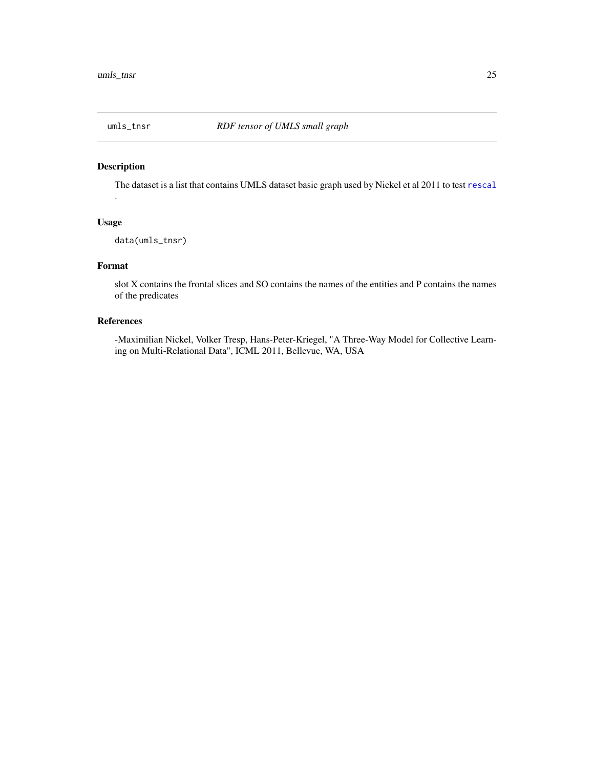<span id="page-24-0"></span>

# Description

The dataset is a list that contains UMLS dataset basic graph used by Nickel et al 2011 to test [rescal](#page-15-1) .

# Usage

data(umls\_tnsr)

# Format

slot X contains the frontal slices and SO contains the names of the entities and P contains the names of the predicates

# References

-Maximilian Nickel, Volker Tresp, Hans-Peter-Kriegel, "A Three-Way Model for Collective Learning on Multi-Relational Data", ICML 2011, Bellevue, WA, USA